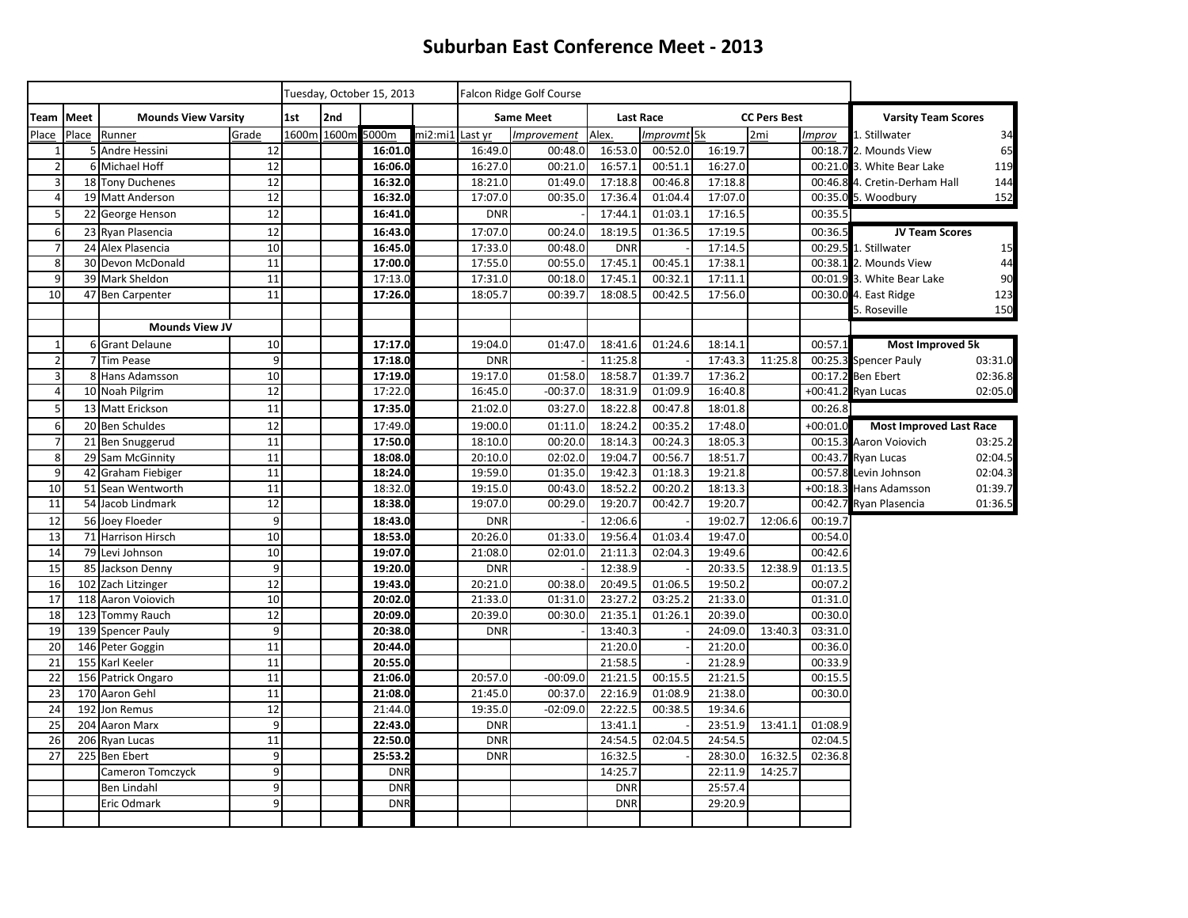## **Suburban East Conference Meet - 2013**

|                  |           |                            |                 | Tuesday, October 15, 2013 |       |            |                  | Falcon Ridge Golf Course |                           |            |                    |                     |         |                            |                                |         |
|------------------|-----------|----------------------------|-----------------|---------------------------|-------|------------|------------------|--------------------------|---------------------------|------------|--------------------|---------------------|---------|----------------------------|--------------------------------|---------|
|                  | Team Meet | <b>Mounds View Varsity</b> |                 | 2nd<br>1st                |       |            | <b>Same Meet</b> |                          | Last Race                 |            |                    | <b>CC Pers Best</b> |         | <b>Varsity Team Scores</b> |                                |         |
| Place            | Place     | Runner                     | Grade           | 1600m                     | 1600m | 5000m      | mi2:mi1          | Last yr                  | <i><b>Improvement</b></i> | Alex.      | <b>Improvmt</b> 5k |                     | 2mi     | Improv                     | 1. Stillwater                  | 34      |
|                  |           | 5 Andre Hessini            | 12              |                           |       | 16:01.0    |                  | 16:49.0                  | 00:48.0                   | 16:53.0    | 00:52.0            | 16:19.7             |         |                            | 00:18.7 2. Mounds View         | 65      |
| $\overline{2}$   |           | 6 Michael Hoff             | 12              |                           |       | 16:06.0    |                  | 16:27.0                  | 00:21.0                   | 16:57.1    | 00:51.1            | 16:27.0             |         |                            | 00:21.0 3. White Bear Lake     | 119     |
| $\overline{3}$   |           | 18 Tony Duchenes           | 12              |                           |       | 16:32.0    |                  | 18:21.0                  | 01:49.0                   | 17:18.8    | 00:46.8            | 17:18.8             |         |                            | 00:46.8 4. Cretin-Derham Hall  | 144     |
| $\overline{4}$   |           | 19 Matt Anderson           | 12              |                           |       | 16:32.0    |                  | 17:07.0                  | 00:35.0                   | 17:36.4    | 01:04.4            | 17:07.0             |         |                            | 00:35.0 5. Woodbury            | 152     |
| 5 <sub>l</sub>   |           | 22 George Henson           | 12              |                           |       | 16:41.0    |                  | <b>DNR</b>               |                           | 17:44.1    | 01:03.1            | 17:16.5             |         | 00:35.5                    |                                |         |
| 6 <sup>1</sup>   |           | 23 Ryan Plasencia          | 12              |                           |       | 16:43.0    |                  | 17:07.0                  | 00:24.0                   | 18:19.5    | 01:36.5            | 17:19.5             |         | 00:36.5                    | <b>JV Team Scores</b>          |         |
| $\overline{7}$   |           | 24 Alex Plasencia          | 10              |                           |       | 16:45.0    |                  | 17:33.0                  | 00:48.0                   | <b>DNR</b> |                    | 17:14.5             |         | 00:29.5                    | 1. Stillwater                  | 15      |
| 8 <sup>1</sup>   |           | 30 Devon McDonald          | $\overline{11}$ |                           |       | 17:00.0    |                  | 17:55.0                  | 00:55.0                   | 17:45.1    | 00:45.1            | 17:38.1             |         |                            | 00:38.1 2. Mounds View         | 44      |
| $\overline{9}$   |           | 39 Mark Sheldon            | 11              |                           |       | 17:13.0    |                  | 17:31.0                  | 00:18.0                   | 17:45.1    | 00:32.1            | 17:11.1             |         |                            | 00:01.9 3. White Bear Lake     | 90      |
| 10               |           | 47 Ben Carpenter           | 11              |                           |       | 17:26.0    |                  | 18:05.7                  | 00:39.7                   | 18:08.5    | 00:42.5            | 17:56.0             |         |                            | 00:30.0 4. East Ridge          | 123     |
|                  |           |                            |                 |                           |       |            |                  |                          |                           |            |                    |                     |         |                            | 5. Roseville                   | 150     |
|                  |           | <b>Mounds View JV</b>      |                 |                           |       |            |                  |                          |                           |            |                    |                     |         |                            |                                |         |
| $1\overline{ }$  |           | 6 Grant Delaune            | 10              |                           |       | 17:17.0    |                  | 19:04.0                  | 01:47.0                   | 18:41.6    | 01:24.6            | 18:14.1             |         | 00:57.1                    | <b>Most Improved 5k</b>        |         |
| 2                |           | 7 Tim Pease                | 9               |                           |       | 17:18.0    |                  | <b>DNR</b>               |                           | 11:25.8    |                    | 17:43.3             | 11:25.8 |                            | 00:25.3 Spencer Pauly          | 03:31.0 |
| $\overline{3}$   |           | 8 Hans Adamsson            | 10              |                           |       | 17:19.0    |                  | 19:17.0                  | 01:58.0                   | 18:58.     | 01:39.7            | 17:36.2             |         |                            | 00:17.2 Ben Ebert              | 02:36.8 |
| $\overline{4}$   |           | 10 Noah Pilgrim            | 12              |                           |       | 17:22.0    |                  | 16:45.0                  | $-00:37.0$                | 18:31.9    | 01:09.9            | 16:40.8             |         |                            | +00:41.2 Ryan Lucas            | 02:05.0 |
| 5 <sup>1</sup>   |           | 13 Matt Erickson           | 11              |                           |       | 17:35.0    |                  | 21:02.0                  | 03:27.0                   | 18:22.8    | 00:47.8            | 18:01.8             |         | 00:26.8                    |                                |         |
| $6 \overline{6}$ |           | 20 Ben Schuldes            | $\overline{12}$ |                           |       | 17:49.0    |                  | 19:00.0                  | 01:11.0                   | 18:24.2    | 00:35.2            | 17:48.0             |         | $+00:01.0$                 | <b>Most Improved Last Race</b> |         |
| $\overline{7}$   |           | 21 Ben Snuggerud           | 11              |                           |       | 17:50.0    |                  | 18:10.0                  | 00:20.0                   | 18:14.3    | 00:24.3            | 18:05.3             |         |                            | 00:15.3 Aaron Voiovich         | 03:25.2 |
| $\bf 8$          |           | 29 Sam McGinnity           | 11              |                           |       | 18:08.0    |                  | 20:10.0                  | 02:02.0                   | 19:04.7    | 00:56.7            | 18:51.7             |         |                            | 00:43.7 Ryan Lucas             | 02:04.5 |
| 9                |           | 42 Graham Fiebiger         | 11              |                           |       | 18:24.0    |                  | 19:59.0                  | 01:35.0                   | 19:42.3    | 01:18.3            | 19:21.8             |         |                            | 00:57.8 Levin Johnson          | 02:04.3 |
| 10               |           | 51 Sean Wentworth          | 11              |                           |       | 18:32.0    |                  | 19:15.0                  | 00:43.0                   | 18:52.2    | 00:20.2            | 18:13.3             |         |                            | +00:18.3 Hans Adamsson         | 01:39.7 |
| 11               |           | 54 Jacob Lindmark          | 12              |                           |       | 18:38.0    |                  | 19:07.0                  | 00:29.0                   | 19:20.7    | 00:42.7            | 19:20.7             |         |                            | 00:42.7 Ryan Plasencia         | 01:36.5 |
| 12               |           | 56 Joey Floeder            | 9               |                           |       | 18:43.0    |                  | <b>DNR</b>               |                           | 12:06.6    |                    | 19:02.7             | 12:06.6 | 00:19.7                    |                                |         |
| 13               |           | 71 Harrison Hirsch         | 10              |                           |       | 18:53.0    |                  | 20:26.0                  | 01:33.0                   | 19:56.4    | 01:03.4            | 19:47.0             |         | 00:54.0                    |                                |         |
| 14               |           | 79 Levi Johnson            | 10              |                           |       | 19:07.0    |                  | 21:08.0                  | 02:01.0                   | 21:11.3    | 02:04.3            | 19:49.6             |         | 00:42.6                    |                                |         |
| 15               |           | 85 Jackson Denny           | $\overline{9}$  |                           |       | 19:20.0    |                  | <b>DNR</b>               |                           | 12:38.9    |                    | 20:33.5             | 12:38.9 | 01:13.5                    |                                |         |
| 16               |           | 102 Zach Litzinger         | 12              |                           |       | 19:43.0    |                  | 20:21.0                  | 00:38.0                   | 20:49.5    | 01:06.5            | 19:50.2             |         | 00:07.2                    |                                |         |
| 17               |           | 118 Aaron Voiovich         | 10              |                           |       | 20:02.0    |                  | 21:33.0                  | 01:31.0                   | 23:27.2    | 03:25.2            | 21:33.0             |         | 01:31.0                    |                                |         |
| 18               | 123       | <b>Tommy Rauch</b>         | $\overline{12}$ |                           |       | 20:09.0    |                  | 20:39.0                  | 00:30.0                   | 21:35.1    | 01:26.1            | 20:39.0             |         | 00:30.0                    |                                |         |
| 19               |           | 139 Spencer Pauly          | 9               |                           |       | 20:38.0    |                  | <b>DNR</b>               |                           | 13:40.3    |                    | 24:09.0             | 13:40.3 | 03:31.0                    |                                |         |
| 20               |           | 146 Peter Goggin           | 11              |                           |       | 20:44.0    |                  |                          |                           | 21:20.0    |                    | 21:20.0             |         | 00:36.0                    |                                |         |
| 21               |           | 155 Karl Keeler            | 11              |                           |       | 20:55.0    |                  |                          |                           | 21:58.5    |                    | 21:28.9             |         | 00:33.9                    |                                |         |
| 22               |           | 156 Patrick Ongaro         | $\overline{11}$ |                           |       | 21:06.0    |                  | 20:57.0                  | $-00:09.0$                | 21:21.5    | 00:15.5            | 21:21.5             |         | 00:15.5                    |                                |         |
| 23               |           | 170 Aaron Gehl             | 11              |                           |       | 21:08.0    |                  | 21:45.0                  | 00:37.0                   | 22:16.9    | 01:08.9            | 21:38.0             |         | 00:30.0                    |                                |         |
| 24               | 192       | Jon Remus                  | 12              |                           |       | 21:44.0    |                  | 19:35.0                  | $-02:09.0$                | 22:22.5    | 00:38.5            | 19:34.6             |         |                            |                                |         |
| 25               | 204       | <b>Aaron Marx</b>          | 9               |                           |       | 22:43.0    |                  | <b>DNR</b>               |                           | 13:41.1    |                    | 23:51.9             | 13:41.1 | 01:08.9                    |                                |         |
| 26               |           | 206 Ryan Lucas             | 11              |                           |       | 22:50.0    |                  | <b>DNR</b>               |                           | 24:54.5    | 02:04.5            | 24:54.5             |         | 02:04.5                    |                                |         |
| $\overline{27}$  | 225       | <b>Ben Ebert</b>           | 9               |                           |       | 25:53.2    |                  | <b>DNR</b>               |                           | 16:32.5    |                    | 28:30.0             | 16:32.5 | 02:36.8                    |                                |         |
|                  |           | Cameron Tomczyck           | 9               |                           |       | <b>DNR</b> |                  |                          |                           | 14:25.7    |                    | 22:11.9             | 14:25.7 |                            |                                |         |
|                  |           | <b>Ben Lindahl</b>         | $\overline{9}$  |                           |       | <b>DNR</b> |                  |                          |                           | <b>DNR</b> |                    | 25:57.4             |         |                            |                                |         |
|                  |           | Eric Odmark                | 9               |                           |       | <b>DNR</b> |                  |                          |                           | <b>DNR</b> |                    | 29:20.9             |         |                            |                                |         |
|                  |           |                            |                 |                           |       |            |                  |                          |                           |            |                    |                     |         |                            |                                |         |